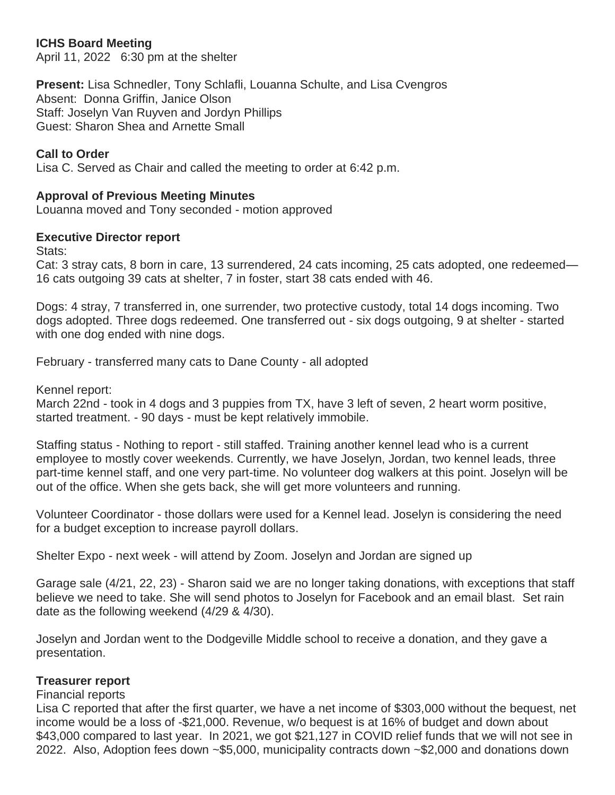# **ICHS Board Meeting**

April 11, 2022 6:30 pm at the shelter

**Present:** Lisa Schnedler, Tony Schlafli, Louanna Schulte, and Lisa Cvengros Absent: Donna Griffin, Janice Olson Staff: Joselyn Van Ruyven and Jordyn Phillips Guest: Sharon Shea and Arnette Small

### **Call to Order**

Lisa C. Served as Chair and called the meeting to order at 6:42 p.m.

### **Approval of Previous Meeting Minutes**

Louanna moved and Tony seconded - motion approved

### **Executive Director report**

Stats:

Cat: 3 stray cats, 8 born in care, 13 surrendered, 24 cats incoming, 25 cats adopted, one redeemed— 16 cats outgoing 39 cats at shelter, 7 in foster, start 38 cats ended with 46.

Dogs: 4 stray, 7 transferred in, one surrender, two protective custody, total 14 dogs incoming. Two dogs adopted. Three dogs redeemed. One transferred out - six dogs outgoing, 9 at shelter - started with one dog ended with nine dogs.

February - transferred many cats to Dane County - all adopted

Kennel report:

March 22nd - took in 4 dogs and 3 puppies from TX, have 3 left of seven, 2 heart worm positive, started treatment. - 90 days - must be kept relatively immobile.

Staffing status - Nothing to report - still staffed. Training another kennel lead who is a current employee to mostly cover weekends. Currently, we have Joselyn, Jordan, two kennel leads, three part-time kennel staff, and one very part-time. No volunteer dog walkers at this point. Joselyn will be out of the office. When she gets back, she will get more volunteers and running.

Volunteer Coordinator - those dollars were used for a Kennel lead. Joselyn is considering the need for a budget exception to increase payroll dollars.

Shelter Expo - next week - will attend by Zoom. Joselyn and Jordan are signed up

Garage sale (4/21, 22, 23) - Sharon said we are no longer taking donations, with exceptions that staff believe we need to take. She will send photos to Joselyn for Facebook and an email blast. Set rain date as the following weekend (4/29 & 4/30).

Joselyn and Jordan went to the Dodgeville Middle school to receive a donation, and they gave a presentation.

### **Treasurer report**

### Financial reports

Lisa C reported that after the first quarter, we have a net income of \$303,000 without the bequest, net income would be a loss of -\$21,000. Revenue, w/o bequest is at 16% of budget and down about \$43,000 compared to last year. In 2021, we got \$21,127 in COVID relief funds that we will not see in 2022. Also, Adoption fees down ~\$5,000, municipality contracts down ~\$2,000 and donations down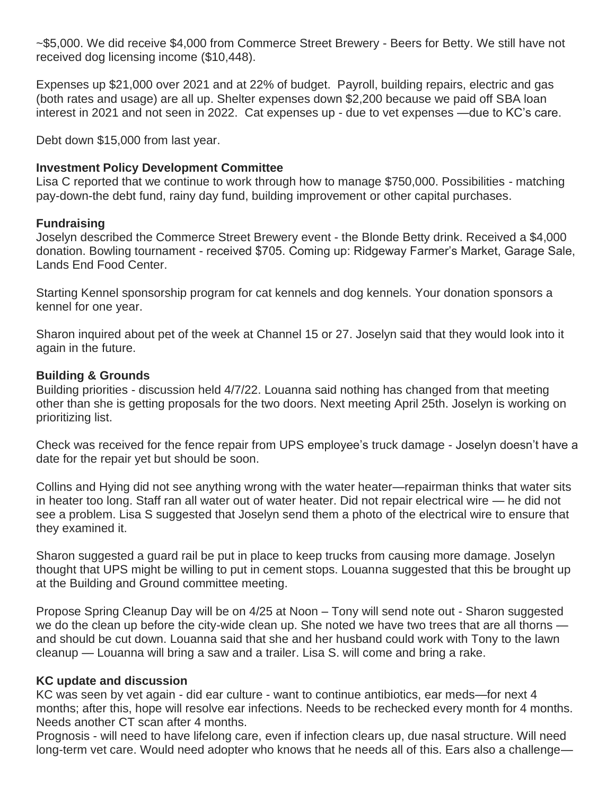~\$5,000. We did receive \$4,000 from Commerce Street Brewery - Beers for Betty. We still have not received dog licensing income (\$10,448).

Expenses up \$21,000 over 2021 and at 22% of budget. Payroll, building repairs, electric and gas (both rates and usage) are all up. Shelter expenses down \$2,200 because we paid off SBA loan interest in 2021 and not seen in 2022. Cat expenses up - due to vet expenses —due to KC's care.

Debt down \$15,000 from last year.

## **Investment Policy Development Committee**

Lisa C reported that we continue to work through how to manage \$750,000. Possibilities - matching pay-down-the debt fund, rainy day fund, building improvement or other capital purchases.

# **Fundraising**

Joselyn described the Commerce Street Brewery event - the Blonde Betty drink. Received a \$4,000 donation. Bowling tournament - received \$705. Coming up: Ridgeway Farmer's Market, Garage Sale, Lands End Food Center.

Starting Kennel sponsorship program for cat kennels and dog kennels. Your donation sponsors a kennel for one year.

Sharon inquired about pet of the week at Channel 15 or 27. Joselyn said that they would look into it again in the future.

# **Building & Grounds**

Building priorities - discussion held 4/7/22. Louanna said nothing has changed from that meeting other than she is getting proposals for the two doors. Next meeting April 25th. Joselyn is working on prioritizing list.

Check was received for the fence repair from UPS employee's truck damage - Joselyn doesn't have a date for the repair yet but should be soon.

Collins and Hying did not see anything wrong with the water heater—repairman thinks that water sits in heater too long. Staff ran all water out of water heater. Did not repair electrical wire — he did not see a problem. Lisa S suggested that Joselyn send them a photo of the electrical wire to ensure that they examined it.

Sharon suggested a guard rail be put in place to keep trucks from causing more damage. Joselyn thought that UPS might be willing to put in cement stops. Louanna suggested that this be brought up at the Building and Ground committee meeting.

Propose Spring Cleanup Day will be on 4/25 at Noon – Tony will send note out - Sharon suggested we do the clean up before the city-wide clean up. She noted we have two trees that are all thorns and should be cut down. Louanna said that she and her husband could work with Tony to the lawn cleanup — Louanna will bring a saw and a trailer. Lisa S. will come and bring a rake.

## **KC update and discussion**

KC was seen by vet again - did ear culture - want to continue antibiotics, ear meds—for next 4 months; after this, hope will resolve ear infections. Needs to be rechecked every month for 4 months. Needs another CT scan after 4 months.

Prognosis - will need to have lifelong care, even if infection clears up, due nasal structure. Will need long-term vet care. Would need adopter who knows that he needs all of this. Ears also a challenge—